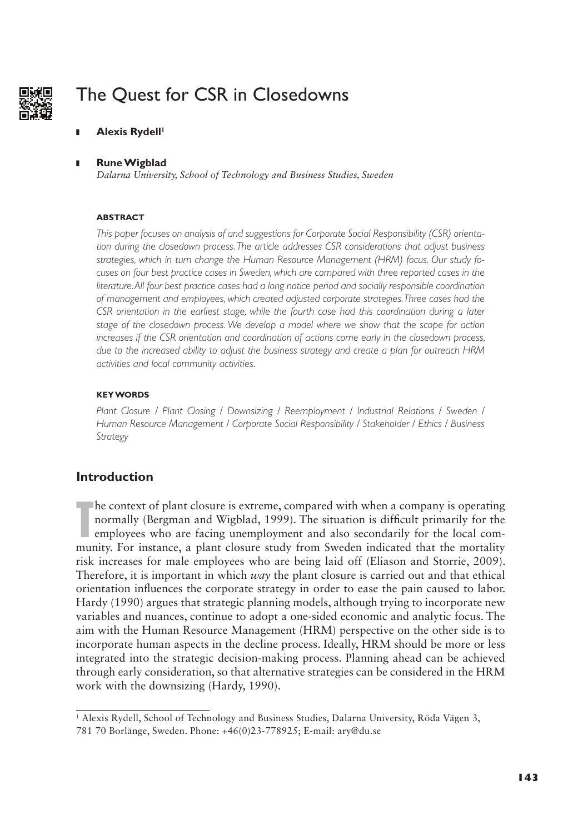

# The Quest for CSR in Closedowns

**Alexis Rydell<sup>1</sup>** 

### **I** Rune Wigblad

*Dalarna University, School of Technology and Business Studies, Sweden*

### **ABSTRACT**

*This paper focuses on analysis of and suggestions for Corporate Social Responsibility (CSR) orientation during the closedown process. The article addresses CSR considerations that adjust business strategies, which in turn change the Human Resource Management (HRM) focus. Our study focuses on four best practice cases in Sweden, which are compared with three reported cases in the literature. All four best practice cases had a long notice period and socially responsible coordination of management and employees, which created adjusted corporate strategies. Three cases had the CSR orientation in the earliest stage, while the fourth case had this coordination during a later stage of the closedown process. We develop a model where we show that the scope for action increases if the CSR orientation and coordination of actions come early in the closedown process, due to the increased ability to adjust the business strategy and create a plan for outreach HRM activities and local community activities.*

### **KEY WORDS**

*Plant Closure / Plant Closing / Downsizing / Reemployment / Industrial Relations / Sweden / Human Resource Management / Corporate Social Responsibility / Stakeholder / Ethics / Business Strategy*

# **Introduction**

**The context of plant closure is extreme, compared with when a company is operating normally (Bergman and Wigblad, 1999). The situation is difficult primarily for the employees who are facing unemployment and also secondar** normally (Bergman and Wigblad, 1999). The situation is difficult primarily for the employees who are facing unemployment and also secondarily for the local community. For instance, a plant closure study from Sweden indicated that the mortality risk increases for male employees who are being laid off (Eliason and Storrie, 2009). Therefore, it is important in which *way* the plant closure is carried out and that ethical orientation influences the corporate strategy in order to ease the pain caused to labor. Hardy (1990) argues that strategic planning models, although trying to incorporate new variables and nuances, continue to adopt a one-sided economic and analytic focus. The aim with the Human Resource Management (HRM) perspective on the other side is to incorporate human aspects in the decline process. Ideally, HRM should be more or less integrated into the strategic decision-making process. Planning ahead can be achieved through early consideration, so that alternative strategies can be considered in the HRM work with the downsizing (Hardy, 1990).

<sup>1</sup> Alexis Rydell, School of Technology and Business Studies, Dalarna University, Röda Vägen 3,

<sup>781 70</sup> Borlänge, Sweden. Phone: +46(0)23-778925; E-mail: ary@du.se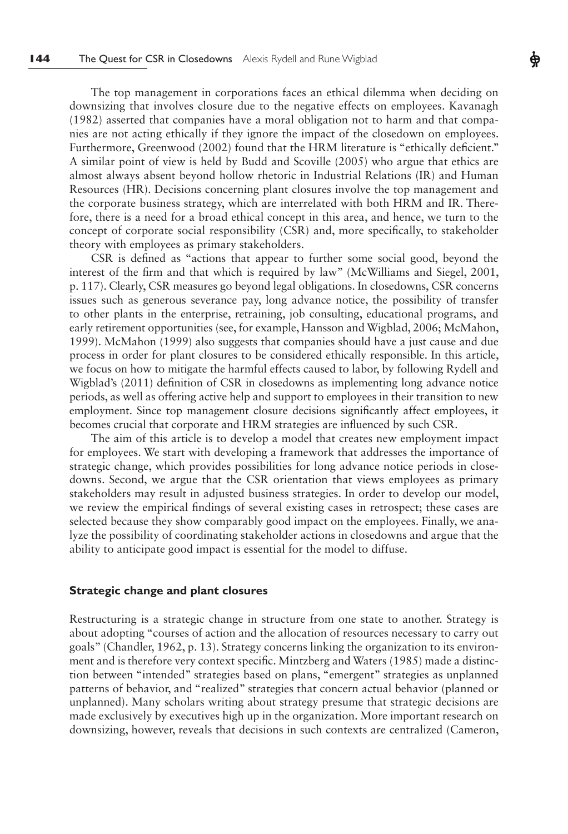The top management in corporations faces an ethical dilemma when deciding on downsizing that involves closure due to the negative effects on employees. Kavanagh (1982) asserted that companies have a moral obligation not to harm and that companies are not acting ethically if they ignore the impact of the closedown on employees. Furthermore, Greenwood (2002) found that the HRM literature is "ethically deficient." A similar point of view is held by Budd and Scoville (2005) who argue that ethics are almost always absent beyond hollow rhetoric in Industrial Relations (IR) and Human Resources (HR). Decisions concerning plant closures involve the top management and the corporate business strategy, which are interrelated with both HRM and IR. Therefore, there is a need for a broad ethical concept in this area, and hence, we turn to the concept of corporate social responsibility (CSR) and, more specifically, to stakeholder theory with employees as primary stakeholders.

CSR is defined as "actions that appear to further some social good, beyond the interest of the firm and that which is required by law" (McWilliams and Siegel, 2001, p. 117). Clearly, CSR measures go beyond legal obligations. In closedowns, CSR concerns issues such as generous severance pay, long advance notice, the possibility of transfer to other plants in the enterprise, retraining, job consulting, educational programs, and early retirement opportunities (see, for example, Hansson and Wigblad, 2006; McMahon, 1999). McMahon (1999) also suggests that companies should have a just cause and due process in order for plant closures to be considered ethically responsible. In this article, we focus on how to mitigate the harmful effects caused to labor, by following Rydell and Wigblad's (2011) definition of CSR in closedowns as implementing long advance notice periods, as well as offering active help and support to employees in their transition to new employment. Since top management closure decisions significantly affect employees, it becomes crucial that corporate and HRM strategies are influenced by such CSR.

The aim of this article is to develop a model that creates new employment impact for employees. We start with developing a framework that addresses the importance of strategic change, which provides possibilities for long advance notice periods in closedowns. Second, we argue that the CSR orientation that views employees as primary stakeholders may result in adjusted business strategies. In order to develop our model, we review the empirical findings of several existing cases in retrospect; these cases are selected because they show comparably good impact on the employees. Finally, we analyze the possibility of coordinating stakeholder actions in closedowns and argue that the ability to anticipate good impact is essential for the model to diffuse.

### **Strategic change and plant closures**

Restructuring is a strategic change in structure from one state to another. Strategy is about adopting "courses of action and the allocation of resources necessary to carry out goals" (Chandler, 1962, p. 13). Strategy concerns linking the organization to its environment and is therefore very context specific. Mintzberg and Waters (1985) made a distinction between "intended" strategies based on plans, "emergent" strategies as unplanned patterns of behavior, and "realized" strategies that concern actual behavior (planned or unplanned). Many scholars writing about strategy presume that strategic decisions are made exclusively by executives high up in the organization. More important research on downsizing, however, reveals that decisions in such contexts are centralized (Cameron,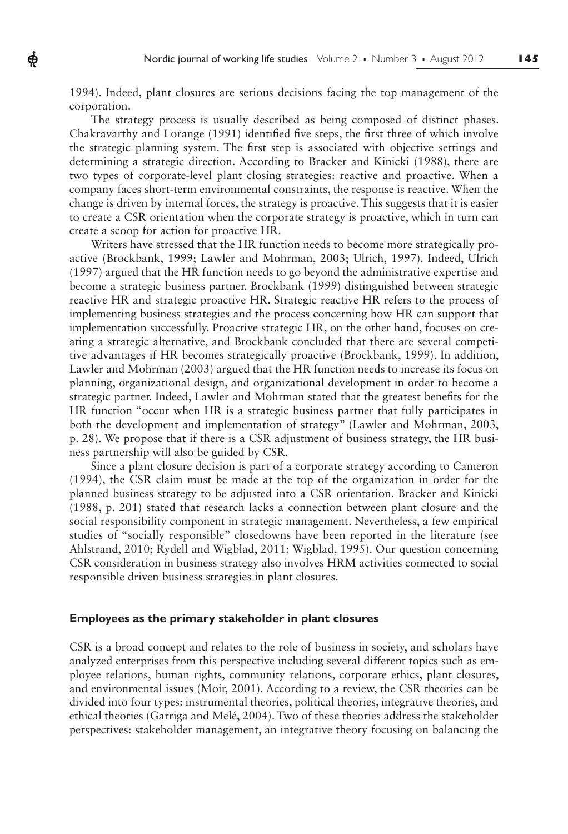1994). Indeed, plant closures are serious decisions facing the top management of the corporation.

ф

The strategy process is usually described as being composed of distinct phases. Chakravarthy and Lorange  $(1991)$  identified five steps, the first three of which involve the strategic planning system. The first step is associated with objective settings and determining a strategic direction. According to Bracker and Kinicki (1988), there are two types of corporate-level plant closing strategies: reactive and proactive. When a company faces short-term environmental constraints, the response is reactive. When the change is driven by internal forces, the strategy is proactive. This suggests that it is easier to create a CSR orientation when the corporate strategy is proactive, which in turn can create a scoop for action for proactive HR.

Writers have stressed that the HR function needs to become more strategically proactive (Brockbank, 1999; Lawler and Mohrman, 2003; Ulrich, 1997). Indeed, Ulrich (1997) argued that the HR function needs to go beyond the administrative expertise and become a strategic business partner. Brockbank (1999) distinguished between strategic reactive HR and strategic proactive HR. Strategic reactive HR refers to the process of implementing business strategies and the process concerning how HR can support that implementation successfully. Proactive strategic HR, on the other hand, focuses on creating a strategic alternative, and Brockbank concluded that there are several competitive advantages if HR becomes strategically proactive (Brockbank, 1999). In addition, Lawler and Mohrman (2003) argued that the HR function needs to increase its focus on planning, organizational design, and organizational development in order to become a strategic partner. Indeed, Lawler and Mohrman stated that the greatest benefits for the HR function "occur when HR is a strategic business partner that fully participates in both the development and implementation of strategy" (Lawler and Mohrman, 2003, p. 28). We propose that if there is a CSR adjustment of business strategy, the HR business partnership will also be guided by CSR.

Since a plant closure decision is part of a corporate strategy according to Cameron (1994), the CSR claim must be made at the top of the organization in order for the planned business strategy to be adjusted into a CSR orientation. Bracker and Kinicki (1988, p. 201) stated that research lacks a connection between plant closure and the social responsibility component in strategic management. Nevertheless, a few empirical studies of "socially responsible" closedowns have been reported in the literature (see Ahlstrand, 2010; Rydell and Wigblad, 2011; Wigblad, 1995). Our question concerning CSR consideration in business strategy also involves HRM activities connected to social responsible driven business strategies in plant closures.

### **Employees as the primary stakeholder in plant closures**

CSR is a broad concept and relates to the role of business in society, and scholars have analyzed enterprises from this perspective including several different topics such as employee relations, human rights, community relations, corporate ethics, plant closures, and environmental issues (Moir, 2001). According to a review, the CSR theories can be divided into four types: instrumental theories, political theories, integrative theories, and ethical theories (Garriga and Melé, 2004). Two of these theories address the stakeholder perspectives: stakeholder management, an integrative theory focusing on balancing the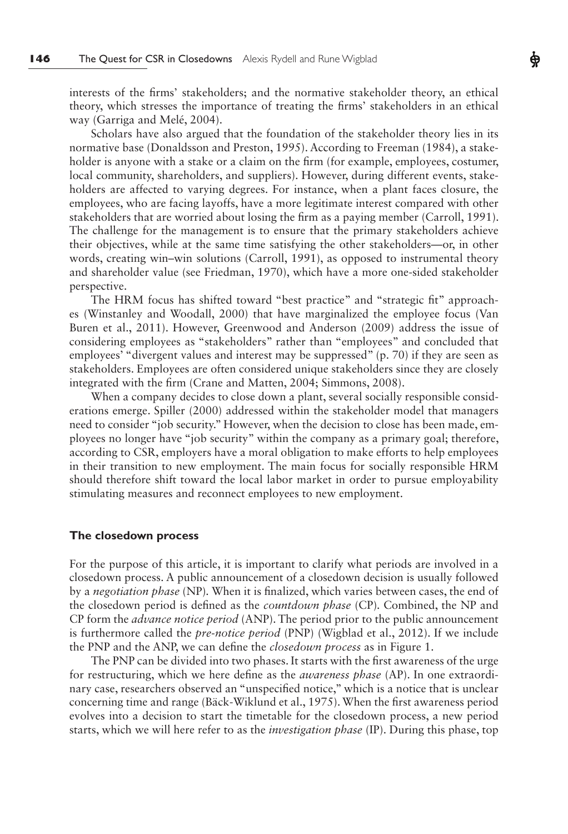interests of the firms' stakeholders; and the normative stakeholder theory, an ethical theory, which stresses the importance of treating the firms' stakeholders in an ethical way (Garriga and Melé, 2004).

Scholars have also argued that the foundation of the stakeholder theory lies in its normative base (Donaldsson and Preston, 1995). According to Freeman (1984), a stakeholder is anyone with a stake or a claim on the firm (for example, employees, costumer, local community, shareholders, and suppliers). However, during different events, stakeholders are affected to varying degrees. For instance, when a plant faces closure, the employees, who are facing layoffs, have a more legitimate interest compared with other stakeholders that are worried about losing the firm as a paying member (Carroll, 1991). The challenge for the management is to ensure that the primary stakeholders achieve their objectives, while at the same time satisfying the other stakeholders—or, in other words, creating win–win solutions (Carroll, 1991), as opposed to instrumental theory and shareholder value (see Friedman, 1970), which have a more one-sided stakeholder perspective.

The HRM focus has shifted toward "best practice" and "strategic fit" approaches (Winstanley and Woodall, 2000) that have marginalized the employee focus (Van Buren et al., 2011). However, Greenwood and Anderson (2009) address the issue of considering employees as "stakeholders" rather than "employees" and concluded that employees' "divergent values and interest may be suppressed" (p. 70) if they are seen as stakeholders. Employees are often considered unique stakeholders since they are closely integrated with the firm (Crane and Matten, 2004; Simmons, 2008).

When a company decides to close down a plant, several socially responsible considerations emerge. Spiller (2000) addressed within the stakeholder model that managers need to consider "job security." However, when the decision to close has been made, employees no longer have "job security" within the company as a primary goal; therefore, according to CSR, employers have a moral obligation to make efforts to help employees in their transition to new employment. The main focus for socially responsible HRM should therefore shift toward the local labor market in order to pursue employability stimulating measures and reconnect employees to new employment.

#### **The closedown process**

For the purpose of this article, it is important to clarify what periods are involved in a closedown process. A public announcement of a closedown decision is usually followed by a *negotiation phase* (NP). When it is finalized, which varies between cases, the end of the closedown period is defined as the *countdown phase (CP)*. Combined, the NP and CP form the *advance notice period* (ANP). The period prior to the public announcement is furthermore called the *pre-notice period* (PNP) (Wigblad et al., 2012). If we include the PNP and the ANP, we can define the *closedown process* as in Figure 1.

The PNP can be divided into two phases. It starts with the first awareness of the urge for restructuring, which we here define as the *awareness phase* (AP). In one extraordinary case, researchers observed an "unspecified notice," which is a notice that is unclear concerning time and range (Bäck-Wiklund et al., 1975). When the first awareness period evolves into a decision to start the timetable for the closedown process, a new period starts, which we will here refer to as the *investigation phase* (IP). During this phase, top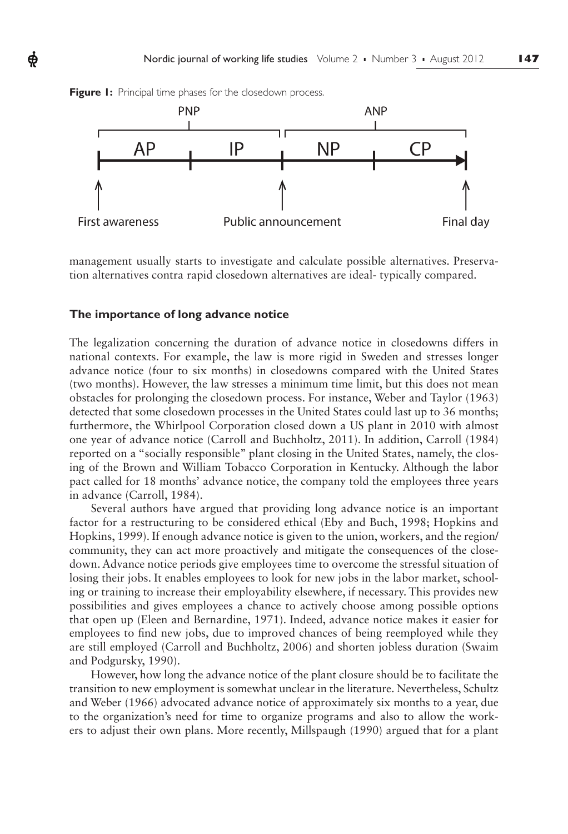

management usually starts to investigate and calculate possible alternatives. Preservation alternatives contra rapid closedown alternatives are ideal- typically compared.

### **The importance of long advance notice**

The legalization concerning the duration of advance notice in closedowns differs in national contexts. For example, the law is more rigid in Sweden and stresses longer advance notice (four to six months) in closedowns compared with the United States (two months). However, the law stresses a minimum time limit, but this does not mean obstacles for prolonging the closedown process. For instance, Weber and Taylor (1963) detected that some closedown processes in the United States could last up to 36 months; furthermore, the Whirlpool Corporation closed down a US plant in 2010 with almost one year of advance notice (Carroll and Buchholtz, 2011). In addition, Carroll (1984) reported on a "socially responsible" plant closing in the United States, namely, the closing of the Brown and William Tobacco Corporation in Kentucky. Although the labor pact called for 18 months' advance notice, the company told the employees three years in advance (Carroll, 1984).

Several authors have argued that providing long advance notice is an important factor for a restructuring to be considered ethical (Eby and Buch, 1998; Hopkins and Hopkins, 1999). If enough advance notice is given to the union, workers, and the region/ community, they can act more proactively and mitigate the consequences of the closedown. Advance notice periods give employees time to overcome the stressful situation of losing their jobs. It enables employees to look for new jobs in the labor market, schooling or training to increase their employability elsewhere, if necessary. This provides new possibilities and gives employees a chance to actively choose among possible options that open up (Eleen and Bernardine, 1971). Indeed, advance notice makes it easier for employees to find new jobs, due to improved chances of being reemployed while they are still employed (Carroll and Buchholtz, 2006) and shorten jobless duration (Swaim and Podgursky, 1990).

However, how long the advance notice of the plant closure should be to facilitate the transition to new employment is somewhat unclear in the literature. Nevertheless, Schultz and Weber (1966) advocated advance notice of approximately six months to a year, due to the organization's need for time to organize programs and also to allow the workers to adjust their own plans. More recently, Millspaugh (1990) argued that for a plant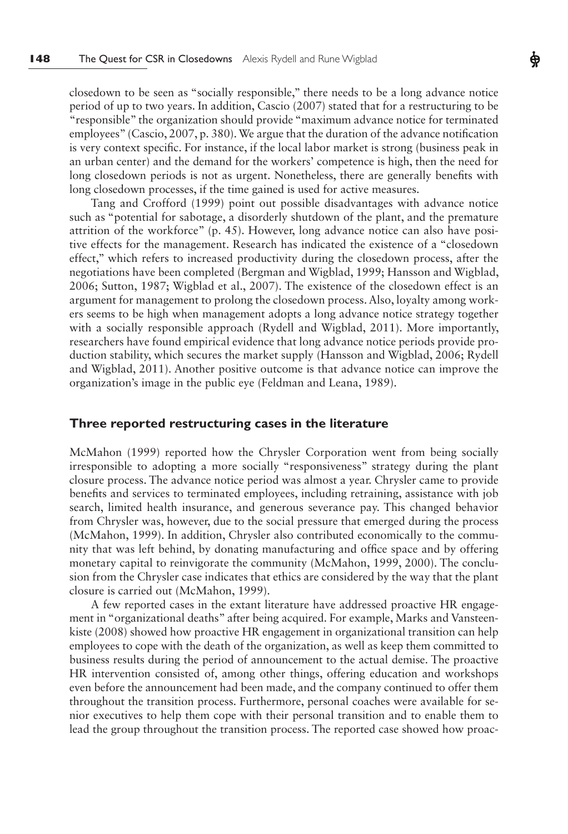closedown to be seen as "socially responsible," there needs to be a long advance notice period of up to two years. In addition, Cascio (2007) stated that for a restructuring to be "responsible" the organization should provide "maximum advance notice for terminated employees" (Cascio, 2007, p. 380). We argue that the duration of the advance notification is very context specific. For instance, if the local labor market is strong (business peak in an urban center) and the demand for the workers' competence is high, then the need for long closedown periods is not as urgent. Nonetheless, there are generally benefits with long closedown processes, if the time gained is used for active measures.

Tang and Crofford (1999) point out possible disadvantages with advance notice such as "potential for sabotage, a disorderly shutdown of the plant, and the premature attrition of the workforce" (p. 45). However, long advance notice can also have positive effects for the management. Research has indicated the existence of a "closedown effect," which refers to increased productivity during the closedown process, after the negotiations have been completed (Bergman and Wigblad, 1999; Hansson and Wigblad, 2006; Sutton, 1987; Wigblad et al., 2007). The existence of the closedown effect is an argument for management to prolong the closedown process. Also, loyalty among workers seems to be high when management adopts a long advance notice strategy together with a socially responsible approach (Rydell and Wigblad, 2011). More importantly, researchers have found empirical evidence that long advance notice periods provide production stability, which secures the market supply (Hansson and Wigblad, 2006; Rydell and Wigblad, 2011). Another positive outcome is that advance notice can improve the organization's image in the public eye (Feldman and Leana, 1989).

### **Three reported restructuring cases in the literature**

McMahon (1999) reported how the Chrysler Corporation went from being socially irresponsible to adopting a more socially "responsiveness" strategy during the plant closure process. The advance notice period was almost a year. Chrysler came to provide benefits and services to terminated employees, including retraining, assistance with job search, limited health insurance, and generous severance pay. This changed behavior from Chrysler was, however, due to the social pressure that emerged during the process (McMahon, 1999). In addition, Chrysler also contributed economically to the community that was left behind, by donating manufacturing and office space and by offering monetary capital to reinvigorate the community (McMahon, 1999, 2000). The conclusion from the Chrysler case indicates that ethics are considered by the way that the plant closure is carried out (McMahon, 1999).

A few reported cases in the extant literature have addressed proactive HR engagement in "organizational deaths" after being acquired. For example, Marks and Vansteenkiste (2008) showed how proactive HR engagement in organizational transition can help employees to cope with the death of the organization, as well as keep them committed to business results during the period of announcement to the actual demise. The proactive HR intervention consisted of, among other things, offering education and workshops even before the announcement had been made, and the company continued to offer them throughout the transition process. Furthermore, personal coaches were available for senior executives to help them cope with their personal transition and to enable them to lead the group throughout the transition process. The reported case showed how proac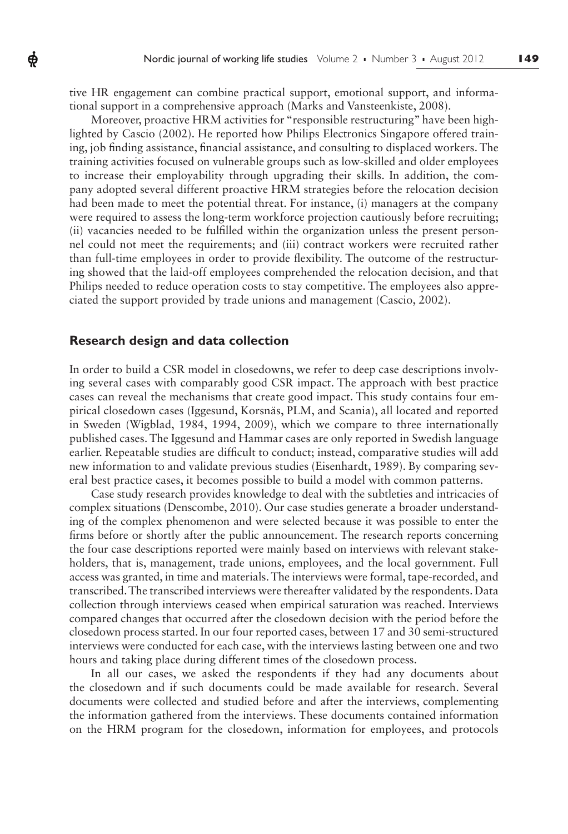tive HR engagement can combine practical support, emotional support, and informational support in a comprehensive approach (Marks and Vansteenkiste, 2008).

Moreover, proactive HRM activities for "responsible restructuring" have been highlighted by Cascio (2002). He reported how Philips Electronics Singapore offered training, job finding assistance, financial assistance, and consulting to displaced workers. The training activities focused on vulnerable groups such as low-skilled and older employees to increase their employability through upgrading their skills. In addition, the company adopted several different proactive HRM strategies before the relocation decision had been made to meet the potential threat. For instance, (i) managers at the company were required to assess the long-term workforce projection cautiously before recruiting; (ii) vacancies needed to be fulfilled within the organization unless the present personnel could not meet the requirements; and (iii) contract workers were recruited rather than full-time employees in order to provide flexibility. The outcome of the restructuring showed that the laid-off employees comprehended the relocation decision, and that Philips needed to reduce operation costs to stay competitive. The employees also appreciated the support provided by trade unions and management (Cascio, 2002).

### **Research design and data collection**

Ф

In order to build a CSR model in closedowns, we refer to deep case descriptions involving several cases with comparably good CSR impact. The approach with best practice cases can reveal the mechanisms that create good impact. This study contains four empirical closedown cases (Iggesund, Korsnäs, PLM, and Scania), all located and reported in Sweden (Wigblad, 1984, 1994, 2009), which we compare to three internationally published cases. The Iggesund and Hammar cases are only reported in Swedish language earlier. Repeatable studies are difficult to conduct; instead, comparative studies will add new information to and validate previous studies (Eisenhardt, 1989). By comparing several best practice cases, it becomes possible to build a model with common patterns.

Case study research provides knowledge to deal with the subtleties and intricacies of complex situations (Denscombe, 2010). Our case studies generate a broader understanding of the complex phenomenon and were selected because it was possible to enter the firms before or shortly after the public announcement. The research reports concerning the four case descriptions reported were mainly based on interviews with relevant stakeholders, that is, management, trade unions, employees, and the local government. Full access was granted, in time and materials. The interviews were formal, tape-recorded, and transcribed. The transcribed interviews were thereafter validated by the respondents. Data collection through interviews ceased when empirical saturation was reached. Interviews compared changes that occurred after the closedown decision with the period before the closedown process started. In our four reported cases, between 17 and 30 semi-structured interviews were conducted for each case, with the interviews lasting between one and two hours and taking place during different times of the closedown process.

In all our cases, we asked the respondents if they had any documents about the closedown and if such documents could be made available for research. Several documents were collected and studied before and after the interviews, complementing the information gathered from the interviews. These documents contained information on the HRM program for the closedown, information for employees, and protocols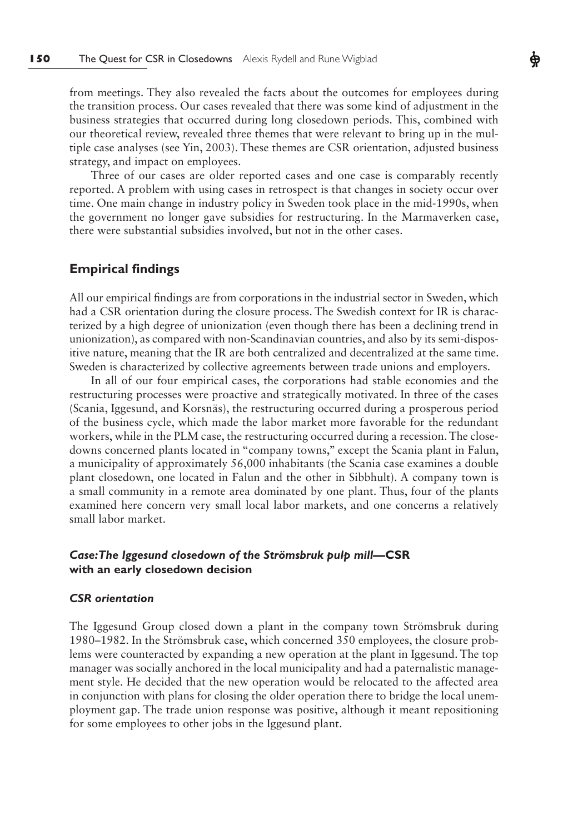from meetings. They also revealed the facts about the outcomes for employees during the transition process. Our cases revealed that there was some kind of adjustment in the business strategies that occurred during long closedown periods. This, combined with our theoretical review, revealed three themes that were relevant to bring up in the multiple case analyses (see Yin, 2003). These themes are CSR orientation, adjusted business strategy, and impact on employees.

Three of our cases are older reported cases and one case is comparably recently reported. A problem with using cases in retrospect is that changes in society occur over time. One main change in industry policy in Sweden took place in the mid-1990s, when the government no longer gave subsidies for restructuring. In the Marmaverken case, there were substantial subsidies involved, but not in the other cases.

# **Empirical findings**

All our empirical findings are from corporations in the industrial sector in Sweden, which had a CSR orientation during the closure process. The Swedish context for IR is characterized by a high degree of unionization (even though there has been a declining trend in unionization), as compared with non-Scandinavian countries, and also by its semi-dispositive nature, meaning that the IR are both centralized and decentralized at the same time. Sweden is characterized by collective agreements between trade unions and employers.

In all of our four empirical cases, the corporations had stable economies and the restructuring processes were proactive and strategically motivated. In three of the cases (Scania, Iggesund, and Korsnäs), the restructuring occurred during a prosperous period of the business cycle, which made the labor market more favorable for the redundant workers, while in the PLM case, the restructuring occurred during a recession. The closedowns concerned plants located in "company towns," except the Scania plant in Falun, a municipality of approximately 56,000 inhabitants (the Scania case examines a double plant closedown, one located in Falun and the other in Sibbhult). A company town is a small community in a remote area dominated by one plant. Thus, four of the plants examined here concern very small local labor markets, and one concerns a relatively small labor market.

# *Case: The Iggesund closedown of the Strömsbruk pulp mill***—CSR with an early closedown decision**

### *CSR orientation*

The Iggesund Group closed down a plant in the company town Strömsbruk during 1980–1982. In the Strömsbruk case, which concerned 350 employees, the closure problems were counteracted by expanding a new operation at the plant in Iggesund. The top manager was socially anchored in the local municipality and had a paternalistic management style. He decided that the new operation would be relocated to the affected area in conjunction with plans for closing the older operation there to bridge the local unemployment gap. The trade union response was positive, although it meant repositioning for some employees to other jobs in the Iggesund plant.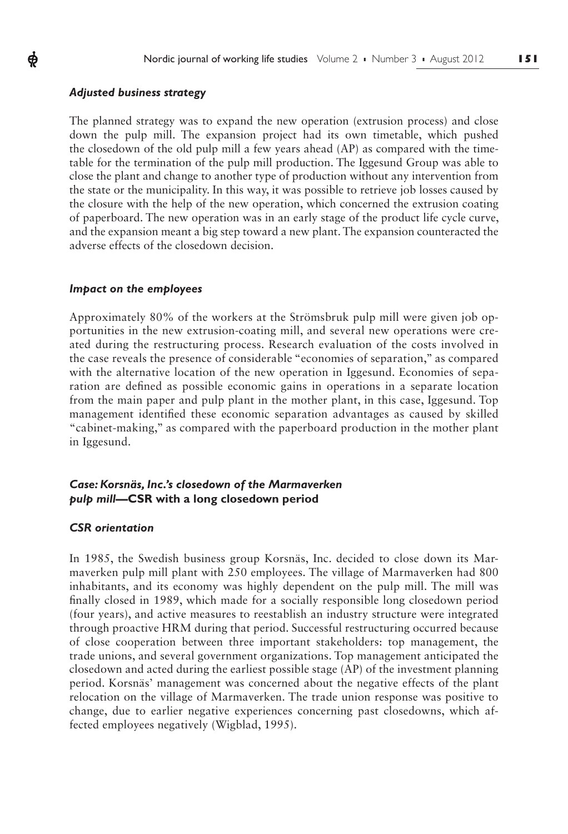# *Adjusted business strategy*

ф

The planned strategy was to expand the new operation (extrusion process) and close down the pulp mill. The expansion project had its own timetable, which pushed the closedown of the old pulp mill a few years ahead (AP) as compared with the timetable for the termination of the pulp mill production. The Iggesund Group was able to close the plant and change to another type of production without any intervention from the state or the municipality. In this way, it was possible to retrieve job losses caused by the closure with the help of the new operation, which concerned the extrusion coating of paperboard. The new operation was in an early stage of the product life cycle curve, and the expansion meant a big step toward a new plant. The expansion counteracted the adverse effects of the closedown decision.

#### *Impact on the employees*

Approximately 80% of the workers at the Strömsbruk pulp mill were given job opportunities in the new extrusion-coating mill, and several new operations were created during the restructuring process. Research evaluation of the costs involved in the case reveals the presence of considerable "economies of separation," as compared with the alternative location of the new operation in Iggesund. Economies of separation are defined as possible economic gains in operations in a separate location from the main paper and pulp plant in the mother plant, in this case, Iggesund. Top management identified these economic separation advantages as caused by skilled "cabinet-making," as compared with the paperboard production in the mother plant in Iggesund.

# *Case: Korsnäs, Inc.'s closedown of the Marmaverken pulp mill***—CSR with a long closedown period**

### *CSR orientation*

In 1985, the Swedish business group Korsnäs, Inc. decided to close down its Marmaverken pulp mill plant with 250 employees. The village of Marmaverken had 800 inhabitants, and its economy was highly dependent on the pulp mill. The mill was finally closed in 1989, which made for a socially responsible long closedown period (four years), and active measures to reestablish an industry structure were integrated through proactive HRM during that period. Successful restructuring occurred because of close cooperation between three important stakeholders: top management, the trade unions, and several government organizations. Top management anticipated the closedown and acted during the earliest possible stage (AP) of the investment planning period. Korsnäs' management was concerned about the negative effects of the plant relocation on the village of Marmaverken. The trade union response was positive to change, due to earlier negative experiences concerning past closedowns, which affected employees negatively (Wigblad, 1995).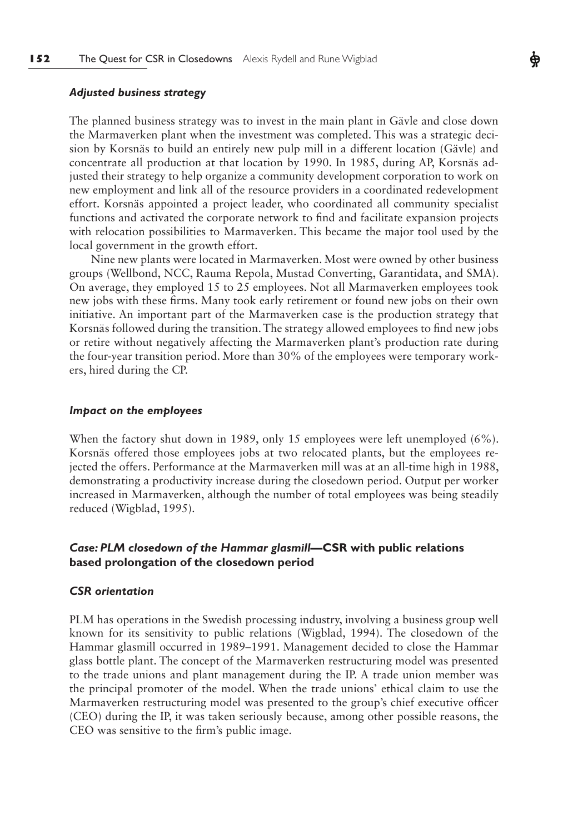# *Adjusted business strategy*

The planned business strategy was to invest in the main plant in Gävle and close down the Marmaverken plant when the investment was completed. This was a strategic decision by Korsnäs to build an entirely new pulp mill in a different location (Gävle) and concentrate all production at that location by 1990. In 1985, during AP, Korsnäs adjusted their strategy to help organize a community development corporation to work on new employment and link all of the resource providers in a coordinated redevelopment effort. Korsnäs appointed a project leader, who coordinated all community specialist functions and activated the corporate network to find and facilitate expansion projects with relocation possibilities to Marmaverken. This became the major tool used by the local government in the growth effort.

Nine new plants were located in Marmaverken. Most were owned by other business groups (Wellbond, NCC, Rauma Repola, Mustad Converting, Garantidata, and SMA). On average, they employed 15 to 25 employees. Not all Marmaverken employees took new jobs with these firms. Many took early retirement or found new jobs on their own initiative. An important part of the Marmaverken case is the production strategy that Korsnäs followed during the transition. The strategy allowed employees to find new jobs or retire without negatively affecting the Marmaverken plant's production rate during the four-year transition period. More than 30% of the employees were temporary workers, hired during the CP.

#### *Impact on the employees*

When the factory shut down in 1989, only 15 employees were left unemployed (6%). Korsnäs offered those employees jobs at two relocated plants, but the employees rejected the offers. Performance at the Marmaverken mill was at an all-time high in 1988, demonstrating a productivity increase during the closedown period. Output per worker increased in Marmaverken, although the number of total employees was being steadily reduced (Wigblad, 1995).

# *Case: PLM closedown of the Hammar glasmill***—CSR with public relations based prolongation of the closedown period**

#### *CSR orientation*

PLM has operations in the Swedish processing industry, involving a business group well known for its sensitivity to public relations (Wigblad, 1994). The closedown of the Hammar glasmill occurred in 1989–1991. Management decided to close the Hammar glass bottle plant. The concept of the Marmaverken restructuring model was presented to the trade unions and plant management during the IP. A trade union member was the principal promoter of the model. When the trade unions' ethical claim to use the Marmaverken restructuring model was presented to the group's chief executive officer (CEO) during the IP, it was taken seriously because, among other possible reasons, the CEO was sensitive to the firm's public image.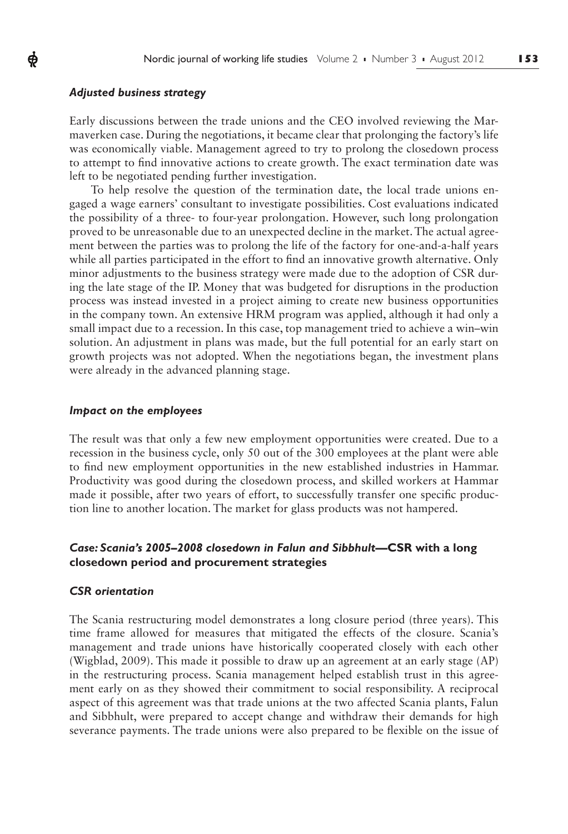### *Adjusted business strategy*

ф

Early discussions between the trade unions and the CEO involved reviewing the Marmaverken case. During the negotiations, it became clear that prolonging the factory's life was economically viable. Management agreed to try to prolong the closedown process to attempt to find innovative actions to create growth. The exact termination date was left to be negotiated pending further investigation.

To help resolve the question of the termination date, the local trade unions engaged a wage earners' consultant to investigate possibilities. Cost evaluations indicated the possibility of a three- to four-year prolongation. However, such long prolongation proved to be unreasonable due to an unexpected decline in the market. The actual agreement between the parties was to prolong the life of the factory for one-and-a-half years while all parties participated in the effort to find an innovative growth alternative. Only minor adjustments to the business strategy were made due to the adoption of CSR during the late stage of the IP. Money that was budgeted for disruptions in the production process was instead invested in a project aiming to create new business opportunities in the company town. An extensive HRM program was applied, although it had only a small impact due to a recession. In this case, top management tried to achieve a win–win solution. An adjustment in plans was made, but the full potential for an early start on growth projects was not adopted. When the negotiations began, the investment plans were already in the advanced planning stage.

### *Impact on the employees*

The result was that only a few new employment opportunities were created. Due to a recession in the business cycle, only 50 out of the 300 employees at the plant were able to find new employment opportunities in the new established industries in Hammar. Productivity was good during the closedown process, and skilled workers at Hammar made it possible, after two years of effort, to successfully transfer one specific production line to another location. The market for glass products was not hampered.

# *Case: Scania's 2005–2008 closedown in Falun and Sibbhult***—CSR with a long closedown period and procurement strategies**

### *CSR orientation*

The Scania restructuring model demonstrates a long closure period (three years). This time frame allowed for measures that mitigated the effects of the closure. Scania's management and trade unions have historically cooperated closely with each other (Wigblad, 2009). This made it possible to draw up an agreement at an early stage (AP) in the restructuring process. Scania management helped establish trust in this agreement early on as they showed their commitment to social responsibility. A reciprocal aspect of this agreement was that trade unions at the two affected Scania plants, Falun and Sibbhult, were prepared to accept change and withdraw their demands for high severance payments. The trade unions were also prepared to be flexible on the issue of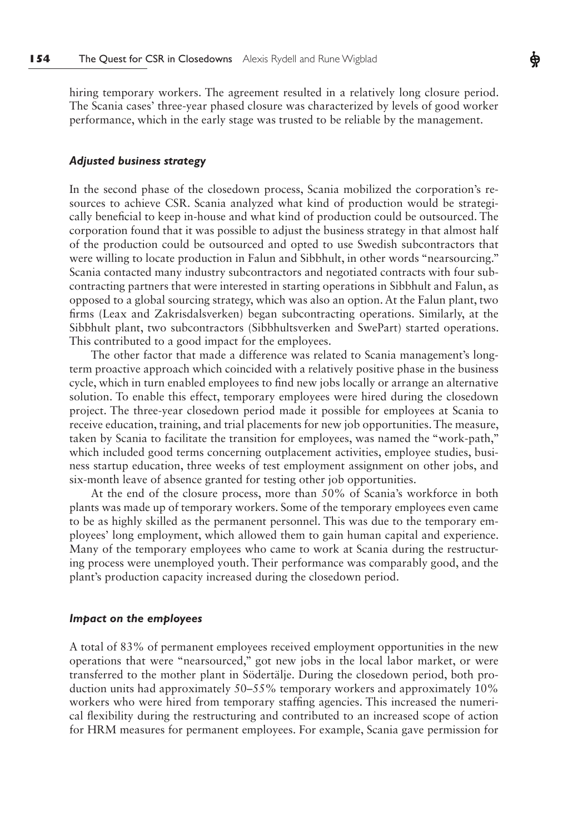hiring temporary workers. The agreement resulted in a relatively long closure period. The Scania cases' three-year phased closure was characterized by levels of good worker performance, which in the early stage was trusted to be reliable by the management.

### *Adjusted business strategy*

In the second phase of the closedown process, Scania mobilized the corporation's resources to achieve CSR. Scania analyzed what kind of production would be strategically beneficial to keep in-house and what kind of production could be outsourced. The corporation found that it was possible to adjust the business strategy in that almost half of the production could be outsourced and opted to use Swedish subcontractors that were willing to locate production in Falun and Sibbhult, in other words "nearsourcing." Scania contacted many industry subcontractors and negotiated contracts with four subcontracting partners that were interested in starting operations in Sibbhult and Falun, as opposed to a global sourcing strategy, which was also an option. At the Falun plant, two firms (Leax and Zakrisdalsverken) began subcontracting operations. Similarly, at the Sibbhult plant, two subcontractors (Sibbhultsverken and SwePart) started operations. This contributed to a good impact for the employees.

The other factor that made a difference was related to Scania management's longterm proactive approach which coincided with a relatively positive phase in the business cycle, which in turn enabled employees to find new jobs locally or arrange an alternative solution. To enable this effect, temporary employees were hired during the closedown project. The three-year closedown period made it possible for employees at Scania to receive education, training, and trial placements for new job opportunities. The measure, taken by Scania to facilitate the transition for employees, was named the "work-path," which included good terms concerning outplacement activities, employee studies, business startup education, three weeks of test employment assignment on other jobs, and six-month leave of absence granted for testing other job opportunities.

At the end of the closure process, more than 50% of Scania's workforce in both plants was made up of temporary workers. Some of the temporary employees even came to be as highly skilled as the permanent personnel. This was due to the temporary employees' long employment, which allowed them to gain human capital and experience. Many of the temporary employees who came to work at Scania during the restructuring process were unemployed youth. Their performance was comparably good, and the plant's production capacity increased during the closedown period.

### *Impact on the employees*

A total of 83% of permanent employees received employment opportunities in the new operations that were "nearsourced," got new jobs in the local labor market, or were transferred to the mother plant in Södertälje. During the closedown period, both production units had approximately 50–55% temporary workers and approximately 10% workers who were hired from temporary staffing agencies. This increased the numerical flexibility during the restructuring and contributed to an increased scope of action for HRM measures for permanent employees. For example, Scania gave permission for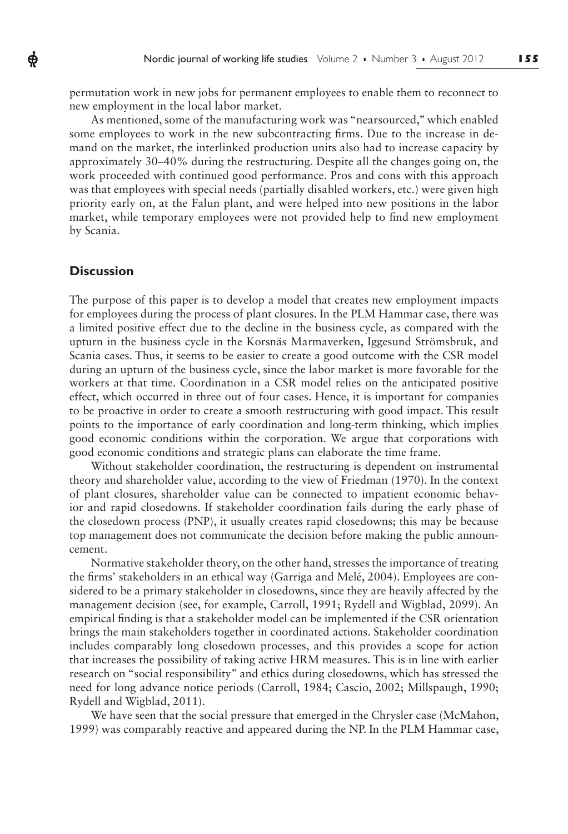permutation work in new jobs for permanent employees to enable them to reconnect to new employment in the local labor market.

As mentioned, some of the manufacturing work was "nearsourced," which enabled some employees to work in the new subcontracting firms. Due to the increase in demand on the market, the interlinked production units also had to increase capacity by approximately 30–40% during the restructuring. Despite all the changes going on, the work proceeded with continued good performance. Pros and cons with this approach was that employees with special needs (partially disabled workers, etc.) were given high priority early on, at the Falun plant, and were helped into new positions in the labor market, while temporary employees were not provided help to find new employment by Scania.

# **Discussion**

ф

The purpose of this paper is to develop a model that creates new employment impacts for employees during the process of plant closures. In the PLM Hammar case, there was a limited positive effect due to the decline in the business cycle, as compared with the upturn in the business cycle in the Korsnäs Marmaverken, Iggesund Strömsbruk, and Scania cases. Thus, it seems to be easier to create a good outcome with the CSR model during an upturn of the business cycle, since the labor market is more favorable for the workers at that time. Coordination in a CSR model relies on the anticipated positive effect, which occurred in three out of four cases. Hence, it is important for companies to be proactive in order to create a smooth restructuring with good impact. This result points to the importance of early coordination and long-term thinking, which implies good economic conditions within the corporation. We argue that corporations with good economic conditions and strategic plans can elaborate the time frame.

Without stakeholder coordination, the restructuring is dependent on instrumental theory and shareholder value, according to the view of Friedman (1970). In the context of plant closures, shareholder value can be connected to impatient economic behavior and rapid closedowns. If stakeholder coordination fails during the early phase of the closedown process (PNP), it usually creates rapid closedowns; this may be because top management does not communicate the decision before making the public announcement.

Normative stakeholder theory, on the other hand, stresses the importance of treating the firms' stakeholders in an ethical way (Garriga and Melé, 2004). Employees are considered to be a primary stakeholder in closedowns, since they are heavily affected by the management decision (see, for example, Carroll, 1991; Rydell and Wigblad, 2099). An empirical finding is that a stakeholder model can be implemented if the CSR orientation brings the main stakeholders together in coordinated actions. Stakeholder coordination includes comparably long closedown processes, and this provides a scope for action that increases the possibility of taking active HRM measures. This is in line with earlier research on "social responsibility" and ethics during closedowns, which has stressed the need for long advance notice periods (Carroll, 1984; Cascio, 2002; Millspaugh, 1990; Rydell and Wigblad, 2011).

We have seen that the social pressure that emerged in the Chrysler case (McMahon, 1999) was comparably reactive and appeared during the NP. In the PLM Hammar case,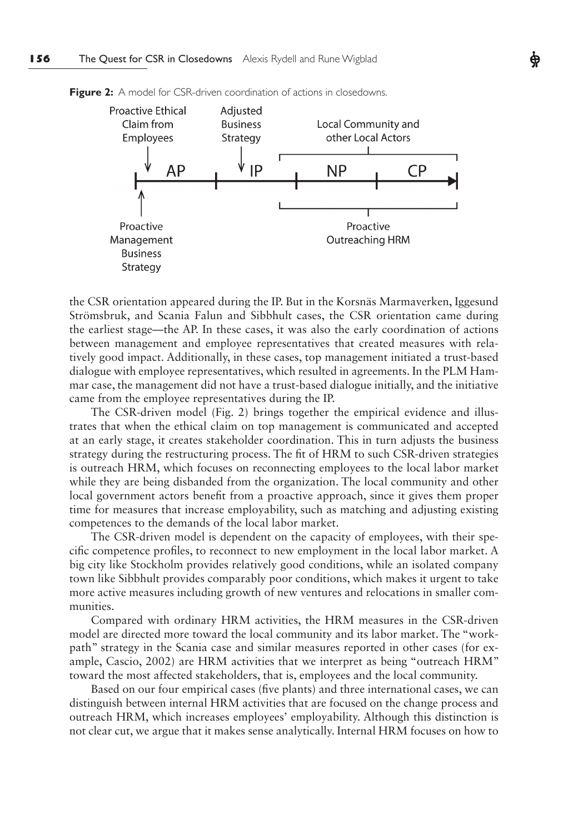

**Figure 2:** A model for CSR-driven coordination of actions in closedowns.

the CSR orientation appeared during the IP. But in the Korsnäs Marmaverken, Iggesund Strömsbruk, and Scania Falun and Sibbhult cases, the CSR orientation came during the earliest stage—the AP. In these cases, it was also the early coordination of actions between management and employee representatives that created measures with relatively good impact. Additionally, in these cases, top management initiated a trust-based dialogue with employee representatives, which resulted in agreements. In the PLM Hammar case, the management did not have a trust-based dialogue initially, and the initiative came from the employee representatives during the IP.

The CSR-driven model (Fig. 2) brings together the empirical evidence and illustrates that when the ethical claim on top management is communicated and accepted at an early stage, it creates stakeholder coordination. This in turn adjusts the business strategy during the restructuring process. The fit of HRM to such CSR-driven strategies is outreach HRM, which focuses on reconnecting employees to the local labor market while they are being disbanded from the organization. The local community and other local government actors benefit from a proactive approach, since it gives them proper time for measures that increase employability, such as matching and adjusting existing competences to the demands of the local labor market.

The CSR-driven model is dependent on the capacity of employees, with their specific competence profiles, to reconnect to new employment in the local labor market. A big city like Stockholm provides relatively good conditions, while an isolated company town like Sibbhult provides comparably poor conditions, which makes it urgent to take more active measures including growth of new ventures and relocations in smaller communities.

Compared with ordinary HRM activities, the HRM measures in the CSR-driven model are directed more toward the local community and its labor market. The "workpath" strategy in the Scania case and similar measures reported in other cases (for example, Cascio, 2002) are HRM activities that we interpret as being "outreach HRM" toward the most affected stakeholders, that is, employees and the local community.

Based on our four empirical cases (five plants) and three international cases, we can distinguish between internal HRM activities that are focused on the change process and outreach HRM, which increases employees' employability. Although this distinction is not clear cut, we argue that it makes sense analytically. Internal HRM focuses on how to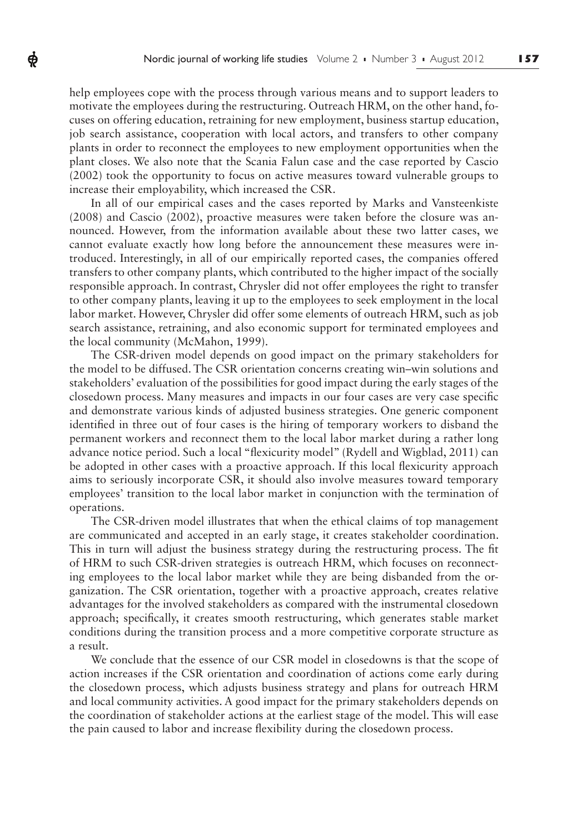help employees cope with the process through various means and to support leaders to motivate the employees during the restructuring. Outreach HRM, on the other hand, focuses on offering education, retraining for new employment, business startup education, job search assistance, cooperation with local actors, and transfers to other company plants in order to reconnect the employees to new employment opportunities when the plant closes. We also note that the Scania Falun case and the case reported by Cascio (2002) took the opportunity to focus on active measures toward vulnerable groups to increase their employability, which increased the CSR.

Ф

In all of our empirical cases and the cases reported by Marks and Vansteenkiste (2008) and Cascio (2002), proactive measures were taken before the closure was announced. However, from the information available about these two latter cases, we cannot evaluate exactly how long before the announcement these measures were introduced. Interestingly, in all of our empirically reported cases, the companies offered transfers to other company plants, which contributed to the higher impact of the socially responsible approach. In contrast, Chrysler did not offer employees the right to transfer to other company plants, leaving it up to the employees to seek employment in the local labor market. However, Chrysler did offer some elements of outreach HRM, such as job search assistance, retraining, and also economic support for terminated employees and the local community (McMahon, 1999).

The CSR-driven model depends on good impact on the primary stakeholders for the model to be diffused. The CSR orientation concerns creating win–win solutions and stakeholders' evaluation of the possibilities for good impact during the early stages of the closedown process. Many measures and impacts in our four cases are very case specific and demonstrate various kinds of adjusted business strategies. One generic component identified in three out of four cases is the hiring of temporary workers to disband the permanent workers and reconnect them to the local labor market during a rather long advance notice period. Such a local "flexicurity model" (Rydell and Wigblad, 2011) can be adopted in other cases with a proactive approach. If this local flexicurity approach aims to seriously incorporate CSR, it should also involve measures toward temporary employees' transition to the local labor market in conjunction with the termination of operations.

The CSR-driven model illustrates that when the ethical claims of top management are communicated and accepted in an early stage, it creates stakeholder coordination. This in turn will adjust the business strategy during the restructuring process. The fit of HRM to such CSR-driven strategies is outreach HRM, which focuses on reconnecting employees to the local labor market while they are being disbanded from the organization. The CSR orientation, together with a proactive approach, creates relative advantages for the involved stakeholders as compared with the instrumental closedown approach; specifically, it creates smooth restructuring, which generates stable market conditions during the transition process and a more competitive corporate structure as a result.

We conclude that the essence of our CSR model in closedowns is that the scope of action increases if the CSR orientation and coordination of actions come early during the closedown process, which adjusts business strategy and plans for outreach HRM and local community activities. A good impact for the primary stakeholders depends on the coordination of stakeholder actions at the earliest stage of the model. This will ease the pain caused to labor and increase flexibility during the closedown process.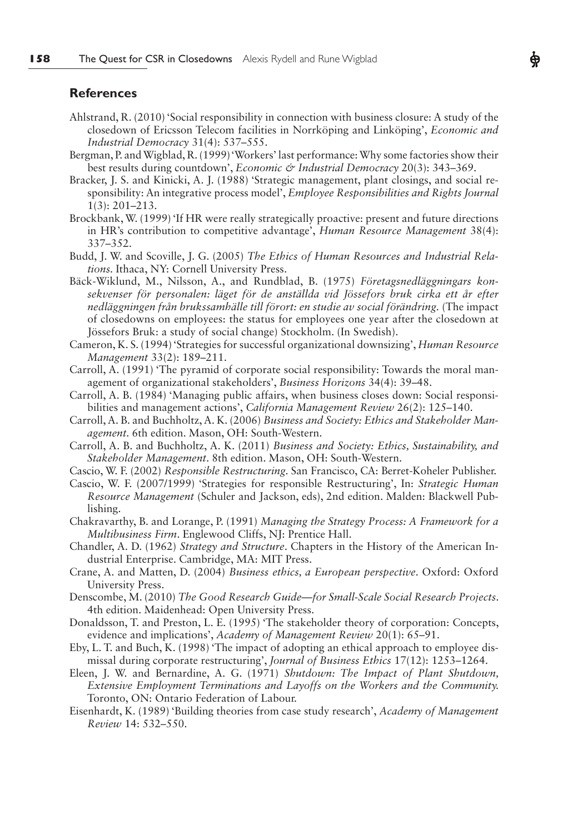### **References**

- Ahlstrand, R. (2010) 'Social responsibility in connection with business closure: A study of the closedown of Ericsson Telecom facilities in Norrköping and Linköping', *Economic and Industrial Democracy* 31(4): 537–555.
- Bergman, P. and Wigblad, R. (1999) 'Workers' last performance: Why some factories show their best results during countdown', *Economic & Industrial Democracy* 20(3): 343–369.
- Bracker, J. S. and Kinicki, A. J. (1988) 'Strategic management, plant closings, and social responsibility: An integrative process model', *Employee Responsibilities and Rights Journal*  1(3): 201–213.
- Brockbank, W. (1999) 'If HR were really strategically proactive: present and future directions in HR's contribution to competitive advantage', *Human Resource Management* 38(4): 337–352.
- Budd, J. W. and Scoville, J. G. (2005) *The Ethics of Human Resources and Industrial Relations.* Ithaca, NY: Cornell University Press.
- Bäck-Wiklund, M., Nilsson, A., and Rundblad, B. (1975) *Företagsnedläggningars konsekvenser för personalen: läget för de anställda vid Jössefors bruk cirka ett år efter nedläggningen från brukssamhälle till förort: en studie av social förändring.* (The impact of closedowns on employees: the status for employees one year after the closedown at Jössefors Bruk: a study of social change) Stockholm. (In Swedish).
- Cameron, K. S. (1994) 'Strategies for successful organizational downsizing', *Human Resource Management* 33(2): 189–211.
- Carroll, A. (1991) 'The pyramid of corporate social responsibility: Towards the moral management of organizational stakeholders', *Business Horizons* 34(4): 39–48.
- Carroll, A. B. (1984) 'Managing public affairs, when business closes down: Social responsibilities and management actions', *California Management Review* 26(2): 125–140.
- Carroll, A. B. and Buchholtz, A. K. (2006) *Business and Society: Ethics and Stakeholder Management.* 6th edition. Mason, OH: South-Western.
- Carroll, A. B. and Buchholtz, A. K. (2011) *Business and Society: Ethics, Sustainability, and Stakeholder Management*. 8th edition. Mason, OH: South-Western.
- Cascio, W. F. (2002) *Responsible Restructuring.* San Francisco, CA: Berret-Koheler Publisher.
- Cascio, W. F. (2007/1999) 'Strategies for responsible Restructuring', In: *Strategic Human Resource Management* (Schuler and Jackson, eds), 2nd edition. Malden: Blackwell Publishing.
- Chakravarthy, B. and Lorange, P. (1991) *Managing the Strategy Process: A Framework for a Multibusiness Firm*. Englewood Cliffs, NJ: Prentice Hall.
- Chandler, A. D. (1962) *Strategy and Structure*. Chapters in the History of the American Industrial Enterprise. Cambridge, MA: MIT Press.
- Crane, A. and Matten, D. (2004) *Business ethics, a European perspective*. Oxford: Oxford University Press.
- Denscombe, M. (2010) *The Good Research Guide—for Small-Scale Social Research Projects*. 4th edition. Maidenhead: Open University Press.
- Donaldsson, T. and Preston, L. E. (1995) 'The stakeholder theory of corporation: Concepts, evidence and implications', *Academy of Management Review* 20(1): 65–91.
- Eby, L. T. and Buch, K. (1998) 'The impact of adopting an ethical approach to employee dismissal during corporate restructuring', *Journal of Business Ethics* 17(12): 1253–1264.
- Eleen, J. W. and Bernardine, A. G. (1971) *Shutdown: The Impact of Plant Shutdown, Extensive Employment Terminations and Layoffs on the Workers and the Community.*  Toronto, ON: Ontario Federation of Labour.
- Eisenhardt, K. (1989) 'Building theories from case study research', *Academy of Management Review* 14: 532–550.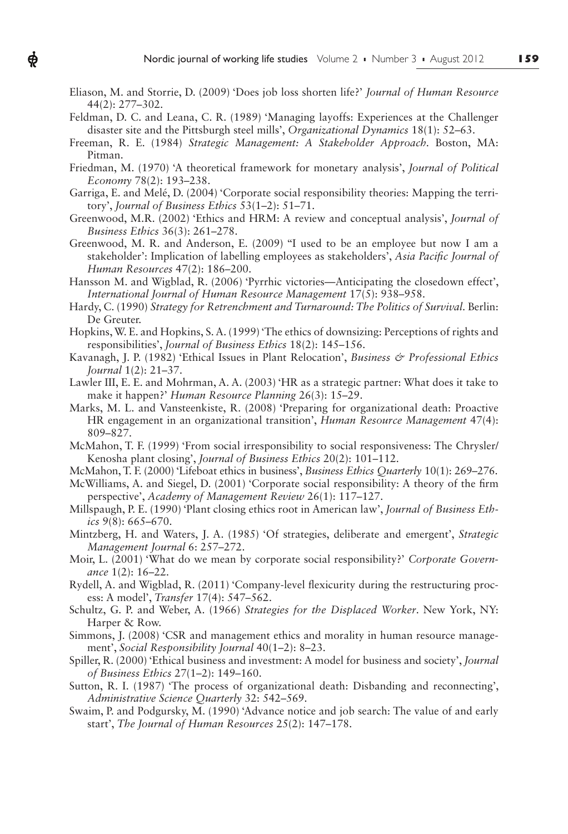Eliason, M. and Storrie, D. (2009) 'Does job loss shorten life?' *Journal of Human Resource*  44(2): 277–302.

 $\boldsymbol{\phi}$ 

- Feldman, D. C. and Leana, C. R. (1989) 'Managing layoffs: Experiences at the Challenger disaster site and the Pittsburgh steel mills', *Organizational Dynamics* 18(1): 52–63.
- Freeman, R. E. (1984) *Strategic Management: A Stakeholder Approach.* Boston, MA: Pitman.
- Friedman, M. (1970) 'A theoretical framework for monetary analysis', *Journal of Political Economy* 78(2): 193–238.
- Garriga, E. and Melé, D. (2004) 'Corporate social responsibility theories: Mapping the territory', *Journal of Business Ethics* 53(1–2): 51–71.
- Greenwood, M.R. (2002) 'Ethics and HRM: A review and conceptual analysis', *Journal of Business Ethics* 36(3): 261–278.
- Greenwood, M. R. and Anderson, E. (2009) "I used to be an employee but now I am a stakeholder': Implication of labelling employees as stakeholders', *Asia Paci!c Journal of Human Resources* 47(2): 186–200.
- Hansson M. and Wigblad, R. (2006) 'Pyrrhic victories—Anticipating the closedown effect', *International Journal of Human Resource Management* 17(5): 938–958.
- Hardy, C. (1990) *Strategy for Retrenchment and Turnaround: The Politics of Survival. Berlin:* De Greuter.
- Hopkins, W. E. and Hopkins, S. A. (1999) 'The ethics of downsizing: Perceptions of rights and responsibilities', *Journal of Business Ethics* 18(2): 145–156.
- Kavanagh, J. P. (1982) 'Ethical Issues in Plant Relocation', *Business & Professional Ethics Journal* 1(2): 21–37.
- Lawler III, E. E. and Mohrman, A. A. (2003) 'HR as a strategic partner: What does it take to make it happen?' *Human Resource Planning* 26(3): 15–29.
- Marks, M. L. and Vansteenkiste, R. (2008) 'Preparing for organizational death: Proactive HR engagement in an organizational transition', *Human Resource Management* 47(4): 809–827.
- McMahon, T. F. (1999) 'From social irresponsibility to social responsiveness: The Chrysler/ Kenosha plant closing', *Journal of Business Ethics* 20(2): 101–112.
- McMahon, T. F. (2000) 'Lifeboat ethics in business', *Business Ethics Quarterly* 10(1): 269–276.
- McWilliams, A. and Siegel, D. (2001) 'Corporate social responsibility: A theory of the firm perspective', *Academy of Management Review* 26(1): 117–127.
- Millspaugh, P. E. (1990) 'Plant closing ethics root in American law', *Journal of Business Ethics* 9(8): 665–670.
- Mintzberg, H. and Waters, J. A. (1985) 'Of strategies, deliberate and emergent', *Strategic Management Journal* 6: 257–272.
- Moir, L. (2001) 'What do we mean by corporate social responsibility?' *Corporate Governance* 1(2): 16–22.
- Rydell, A. and Wigblad, R. (2011) 'Company-level flexicurity during the restructuring process: A model', *Transfer* 17(4): 547–562.
- Schultz, G. P. and Weber, A. (1966) *Strategies for the Displaced Worker*. New York, NY: Harper & Row.
- Simmons, J. (2008) 'CSR and management ethics and morality in human resource management', *Social Responsibility Journal* 40(1–2): 8–23.
- Spiller, R. (2000) 'Ethical business and investment: A model for business and society', *Journal of Business Ethics* 27(1–2): 149–160.
- Sutton, R. I. (1987) 'The process of organizational death: Disbanding and reconnecting', *Administrative Science Quarterly* 32: 542–569.
- Swaim, P. and Podgursky, M. (1990) 'Advance notice and job search: The value of and early start', *The Journal of Human Resources* 25(2): 147–178.